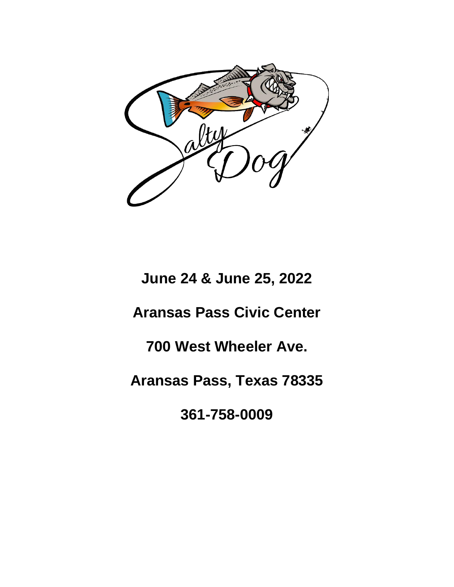

**June 24 & June 25, 2022 Aransas Pass Civic Center 700 West Wheeler Ave. Aransas Pass, Texas 78335 361-758-0009**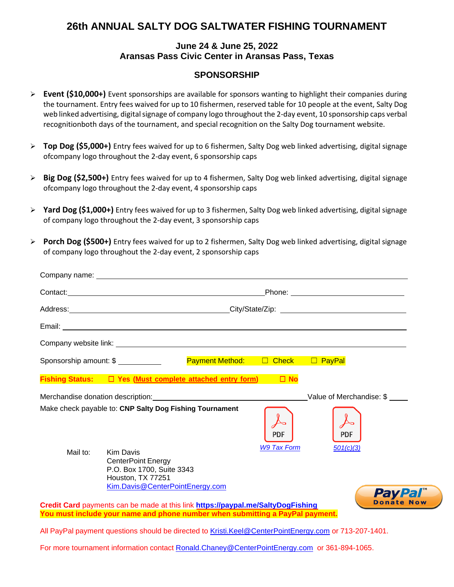## **26th ANNUAL SALTY DOG SALTWATER FISHING TOURNAMENT**

## **June 24 & June 25, 2022 Aransas Pass Civic Center in Aransas Pass, Texas**

## **SPONSORSHIP**

- ➢ **Event (\$10,000+)** Event sponsorships are available for sponsors wanting to highlight their companies during the tournament. Entry fees waived for up to 10 fishermen, reserved table for 10 people at the event, Salty Dog web linked advertising, digital signage of company logo throughout the 2-day event, 10 sponsorship caps verbal recognitionboth days of the tournament, and special recognition on the Salty Dog tournament website.
- ➢ **Top Dog (\$5,000+)** Entry fees waived for up to 6 fishermen, Salty Dog web linked advertising, digital signage ofcompany logo throughout the 2-day event, 6 sponsorship caps
- ➢ **Big Dog (\$2,500+)** Entry fees waived for up to 4 fishermen, Salty Dog web linked advertising, digital signage ofcompany logo throughout the 2-day event, 4 sponsorship caps
- ➢ **Yard Dog (\$1,000+)** Entry fees waived for up to 3 fishermen, Salty Dog web linked advertising, digital signage of company logo throughout the 2-day event, 3 sponsorship caps
- ➢ **Porch Dog (\$500+)** Entry fees waived for up to 2 fishermen, Salty Dog web linked advertising, digital signage of company logo throughout the 2-day event, 2 sponsorship caps

|          | Sponsorship amount: \$                                                                                                                | Payment Method: □ Check □ PayPal                                                                      |                    |                          |                   |
|----------|---------------------------------------------------------------------------------------------------------------------------------------|-------------------------------------------------------------------------------------------------------|--------------------|--------------------------|-------------------|
|          |                                                                                                                                       | Fishing Status: □ Yes (Must complete attached entry form) □ No                                        |                    |                          |                   |
|          |                                                                                                                                       |                                                                                                       |                    | Value of Merchandise: \$ |                   |
|          | Make check payable to: CNP Salty Dog Fishing Tournament                                                                               |                                                                                                       | <b>PDF</b>         | <b>PDF</b>               |                   |
| Mail to: | <b>Kim Davis</b><br><b>CenterPoint Energy</b><br>P.O. Box 1700, Suite 3343<br>Houston, TX 77251<br>Kim. Davis @ CenterPointEnergy.com |                                                                                                       | <b>W9 Tax Form</b> | 501(c)(3)                | <b>PayPal</b>     |
|          |                                                                                                                                       | Credit Card payments can be made at this link https://paypal.me/SaltyDogFishing                       |                    |                          | <b>Donate Now</b> |
|          |                                                                                                                                       | You must include your name and phone number when submitting a PayPal payment.                         |                    |                          |                   |
|          |                                                                                                                                       | All PayPal payment questions should be directed to Kristi.Keel@CenterPointEnergy.com or 713-207-1401. |                    |                          |                   |
|          |                                                                                                                                       | For more tournament information contact Ronald.Chaney@CenterPointEnergy.com or 361-894-1065.          |                    |                          |                   |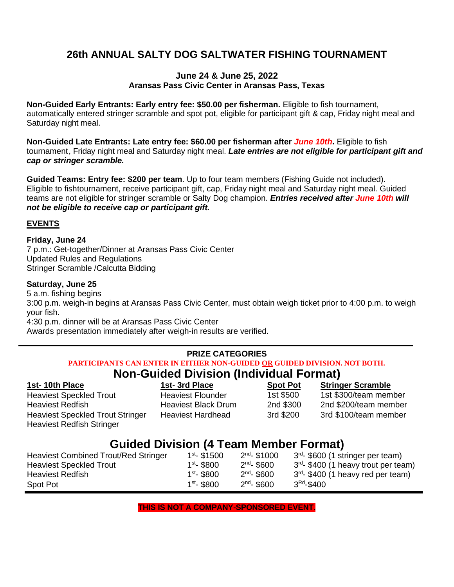# **26th ANNUAL SALTY DOG SALTWATER FISHING TOURNAMENT**

## **June 24 & June 25, 2022 Aransas Pass Civic Center in Aransas Pass, Texas**

**Non-Guided Early Entrants: Early entry fee: \$50.00 per fisherman.** Eligible to fish tournament, automatically entered stringer scramble and spot pot, eligible for participant gift & cap, Friday night meal and Saturday night meal.

**Non-Guided Late Entrants: Late entry fee: \$60.00 per fisherman after** *June 10th***.** Eligible to fish tournament , Friday night meal and Saturday night meal. *Late entries are not eligible for participant gift and cap or stringer scramble.*

**Guided Teams: Entry fee: \$200 per team**. Up to four team members (Fishing Guide not included). Eligible to fishtournament, receive participant gift, cap, Friday night meal and Saturday night meal. Guided teams are not eligible for stringer scramble or Salty Dog champion. *Entries received after June 10th will not be eligible to receive cap or participant gift.*

## **EVENTS**

### **Friday, June 24**

7 p.m.: Get-together/Dinner at Aransas Pass Civic Center Updated Rules and Regulations Stringer Scramble /Calcutta Bidding

## **Saturday, June 25**

5 a.m. fishing begins 3:00 p.m. weigh-in begins at Aransas Pass Civic Center, must obtain weigh ticket prior to 4:00 p.m. to weigh your fish. 4:30 p.m. dinner will be at Aransas Pass Civic Center

Awards presentation immediately after weigh-in results are verified.

#### **PRIZE CATEGORIES PARTICIPANTS CAN ENTER IN EITHER NON-GUIDED OR GUIDED DIVISION. NOT BOTH. Non-Guided Division (Individual Format)**

| <b>TOT CARGO PROTEIT (MARGO LOTING)</b>                                     |                            |                 |                          |  |
|-----------------------------------------------------------------------------|----------------------------|-----------------|--------------------------|--|
| 1st-10th Place                                                              | 1st-3rd Place              | <b>Spot Pot</b> | <b>Stringer Scramble</b> |  |
| <b>Heaviest Speckled Trout</b>                                              | <b>Heaviest Flounder</b>   | 1st \$500       | 1st \$300/team member    |  |
| <b>Heaviest Redfish</b>                                                     | <b>Heaviest Black Drum</b> | 2nd \$300       | 2nd \$200/team member    |  |
| <b>Heaviest Speckled Trout Stringer</b><br><b>Heaviest Redfish Stringer</b> | <b>Heaviest Hardhead</b>   | 3rd \$200       | 3rd \$100/team member    |  |

# **Guided Division (4 Team Member Format)**

| <b>Heaviest Combined Trout/Red Stringer</b> | $1st - $1500$ | $2^{nd}$ - \$1000 | 3 <sup>rd</sup> - \$600 (1 stringer per team)    |
|---------------------------------------------|---------------|-------------------|--------------------------------------------------|
| <b>Heaviest Speckled Trout</b>              | $1st - $800$  | $2^{nd}$ - \$600  | 3 <sup>rd</sup> - \$400 (1 heavy trout per team) |
| <b>Heaviest Redfish</b>                     | $1st - $800$  | $2^{nd}$ - \$600  | 3 <sup>rd</sup> - \$400 (1 heavy red per team)   |
| Spot Pot                                    | $1st - $800$  | $2^{nd}$ - \$600  | $3^{\rm{Rd}}$ - $\$$ 400                         |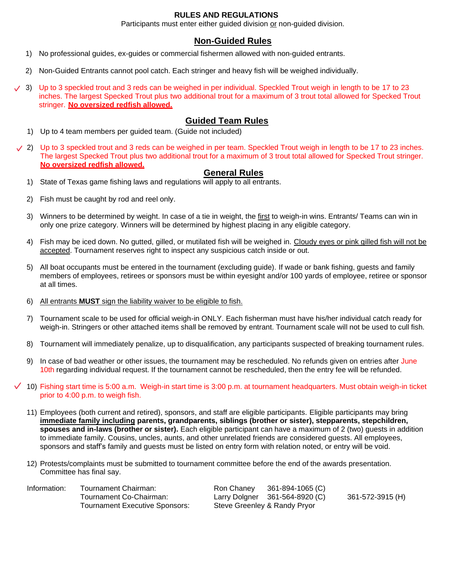### **RULES AND REGULATIONS**

Participants must enter either guided division or non-guided division.

### **Non-Guided Rules**

- 1) No professional guides, ex-guides or commercial fishermen allowed with non-guided entrants.
- 2) Non-Guided Entrants cannot pool catch. Each stringer and heavy fish will be weighed individually.
- 3) Up to 3 speckled trout and 3 reds can be weighed in per individual. Speckled Trout weigh in length to be 17 to 23 inches. The largest Specked Trout plus two additional trout for a maximum of 3 trout total allowed for Specked Trout stringer. **No oversized redfish allowed.**

### **Guided Team Rules**

- 1) Up to 4 team members per guided team. (Guide not included)
- $\vee$  2) Up to 3 speckled trout and 3 reds can be weighed in per team. Speckled Trout weigh in length to be 17 to 23 inches. The largest Specked Trout plus two additional trout for a maximum of 3 trout total allowed for Specked Trout stringer. **No oversized redfish allowed.**

### **General Rules**

- 1) State of Texas game fishing laws and regulations will apply to all entrants.
- 2) Fish must be caught by rod and reel only.
- 3) Winners to be determined by weight. In case of a tie in weight, the first to weigh-in wins. Entrants/ Teams can win in only one prize category. Winners will be determined by highest placing in any eligible category.
- 4) Fish may be iced down. No gutted, gilled, or mutilated fish will be weighed in. Cloudy eyes or pink gilled fish will not be accepted. Tournament reserves right to inspect any suspicious catch inside or out.
- 5) All boat occupants must be entered in the tournament (excluding guide). If wade or bank fishing, guests and family members of employees, retirees or sponsors must be within eyesight and/or 100 yards of employee, retiree or sponsor at all times.
- 6) All entrants **MUST** sign the liability waiver to be eligible to fish.
- 7) Tournament scale to be used for official weigh-in ONLY. Each fisherman must have his/her individual catch ready for weigh-in. Stringers or other attached items shall be removed by entrant. Tournament scale will not be used to cull fish.
- 8) Tournament will immediately penalize, up to disqualification, any participants suspected of breaking tournament rules.
- 9) In case of bad weather or other issues, the tournament may be rescheduled. No refunds given on entries after June 10th regarding individual request. If the tournament cannot be rescheduled, then the entry fee will be refunded.
- $\checkmark$  10) Fishing start time is 5:00 a.m. Weigh-in start time is 3:00 p.m. at tournament headquarters. Must obtain weigh-in ticket prior to 4:00 p.m. to weigh fish.
	- 11) Employees (both current and retired), sponsors, and staff are eligible participants. Eligible participants may bring **immediate family including parents, grandparents, siblings (brother or sister), stepparents, stepchildren, spouses and in-laws (brother or sister).** Each eligible participant can have a maximum of 2 (two) guests in addition to immediate family. Cousins, uncles, aunts, and other unrelated friends are considered guests. All employees, sponsors and staff's family and guests must be listed on entry form with relation noted, or entry will be void.
	- 12) Protests/complaints must be submitted to tournament committee before the end of the awards presentation. Committee has final say.

| Information: | Tournament Chairman:           | Ron Chaney | 361-894-1065 (C)               |                  |
|--------------|--------------------------------|------------|--------------------------------|------------------|
|              | Tournament Co-Chairman:        |            | Larry Dolgner 361-564-8920 (C) | 361-572-3915 (H) |
|              | Tournament Executive Sponsors: |            | Steve Greenley & Randy Pryor   |                  |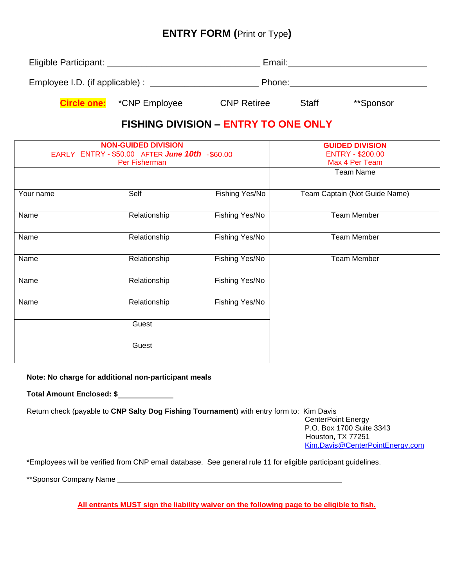# **ENTRY FORM (**Print or Type**)**

| Eligible Participant:           |                                  | Email:             |              |           |  |
|---------------------------------|----------------------------------|--------------------|--------------|-----------|--|
| Employee I.D. (if applicable) : |                                  | Phone:             |              |           |  |
|                                 | <b>Circle one:</b> *CNP Employee | <b>CNP Retiree</b> | <b>Staff</b> | **Sponsor |  |

# **FISHING DIVISION – ENTRY TO ONE ONLY**

|           | <b>NON-GUIDED DIVISION</b><br>EARLY ENTRY-\$50.00 AFTER June 10th -\$60.00<br>Per Fisherman |                | <b>GUIDED DIVISION</b><br><b>ENTRY - \$200.00</b><br>Max 4 Per Team<br><b>Team Name</b> |
|-----------|---------------------------------------------------------------------------------------------|----------------|-----------------------------------------------------------------------------------------|
| Your name | Self                                                                                        | Fishing Yes/No | Team Captain (Not Guide Name)                                                           |
| Name      | Relationship                                                                                | Fishing Yes/No | <b>Team Member</b>                                                                      |
| Name      | Relationship                                                                                | Fishing Yes/No | <b>Team Member</b>                                                                      |
| Name      | Relationship                                                                                | Fishing Yes/No | <b>Team Member</b>                                                                      |
| Name      | Relationship                                                                                | Fishing Yes/No |                                                                                         |
| Name      | Relationship                                                                                | Fishing Yes/No |                                                                                         |
|           | Guest                                                                                       |                |                                                                                         |
|           | Guest                                                                                       |                |                                                                                         |

### **Note: No charge for additional non-participant meals**

**Total Amount Enclosed: \$**

Return check (payable to **CNP Salty Dog Fishing Tournament**) with entry form to: Kim Davis

CenterPoint Energy P.O. Box 1700 Suite 3343 Houston, TX 77251 [Kim.Davis@CenterPointEnergy.com](mailto:Kim.Davis@CenterPointEnergy.com)

\*Employees will be verified from CNP email database. See general rule 11 for eligible participant guidelines.

\*\*Sponsor Company Name

**All entrants MUST sign the liability waiver on the following page to be eligible to fish.**